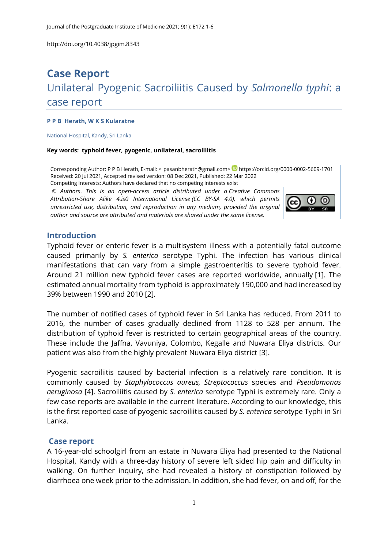# **Case Report** Unilateral Pyogenic Sacroiliitis Caused by *Salmonella typhi*: a case report

#### **P P B Herath, W K S Kularatne**

National Hospital, Kandy, Sri Lanka

#### **Key words: typhoid fever, pyogenic, unilateral, sacroiliitis**

Corresponding Author: P P B Herath, E-mail: < [pasanbherath@gmail.com>](mailto:pasanbherath@gmail.com) **D** <https://orcid.org/0000-0002-5609-1701> Received: 20 Jul 2021, Accepted revised version: 08 Dec 2021, Published: 22 Mar 2022 Competing Interests: Authors have declared that no competing interests exist

© *Authors*. *This is an open-access article distributed under a [Creative Commons](http://creativecommons.org/licenses/by-sa/4.0/)  [Attribution-Share Alike 4.is0 International License](http://creativecommons.org/licenses/by-sa/4.0/) (CC BY-SA 4.0), which permits unrestricted use, distribution, and reproduction in any medium, provided the original author and source are attributed and materials are shared under the same license.* 



#### **Introduction**

Typhoid fever or enteric fever is a multisystem illness with a potentially fatal outcome caused primarily by *S. enterica* serotype Typhi. The infection has various clinical manifestations that can vary from a simple gastroenteritis to severe typhoid fever. Around 21 million new typhoid fever cases are reported worldwide, annually [\[1\]](#page-5-0). The estimated annual mortality from typhoid is approximately 190,000 and had increased by 39% between 1990 and 2010 [\[2\]](#page-5-1).

The number of notified cases of typhoid fever in Sri Lanka has reduced. From 2011 to 2016, the number of cases gradually declined from 1128 to 528 per annum. The distribution of typhoid fever is restricted to certain geographical areas of the country. These include the Jaffna, Vavuniya, Colombo, Kegalle and Nuwara Eliya districts. Our patient was also from the highly prevalent Nuwara Eliya district [\[3\]](#page-5-2).

Pyogenic sacroiliitis caused by bacterial infection is a relatively rare condition. It is commonly caused by *Staphylococcus aureus, Streptococcus* species and *Pseudomonas aeruginosa* [\[4\]](#page-5-3). Sacroiliitis caused by *S. enterica* serotype Typhi is extremely rare. Only a few case reports are available in the current literature. According to our knowledge, this is the first reported case of pyogenic sacroiliitis caused by *S. enterica* serotype Typhi in Sri Lanka.

## **Case report**

A 16-year-old schoolgirl from an estate in Nuwara Eliya had presented to the National Hospital, Kandy with a three-day history of severe left sided hip pain and difficulty in walking. On further inquiry, she had revealed a history of constipation followed by diarrhoea one week prior to the admission. In addition, she had fever, on and off, for the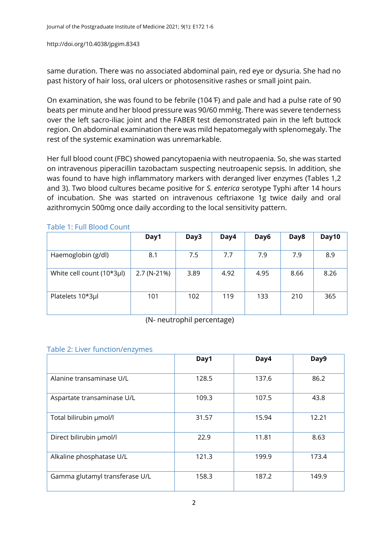same duration. There was no associated abdominal pain, red eye or dysuria. She had no past history of hair loss, oral ulcers or photosensitive rashes or small joint pain.

On examination, she was found to be febrile (104 ̊F) and pale and had a pulse rate of 90 beats per minute and her blood pressure was 90/60 mmHg. There was severe tenderness over the left sacro-iliac joint and the FABER test demonstrated pain in the left buttock region. On abdominal examination there was mild hepatomegaly with splenomegaly. The rest of the systemic examination was unremarkable.

Her full blood count (FBC) showed pancytopaenia with neutropaenia. So, she was started on intravenous piperacillin tazobactam suspecting neutroapenic sepsis. In addition, she was found to have high inflammatory markers with deranged liver enzymes (Tables 1,2 and 3). Two blood cultures became positive for *S. enterica* serotype Typhi after 14 hours of incubation. She was started on intravenous ceftriaxone 1g twice daily and oral azithromycin 500mg once daily according to the local sensitivity pattern.

|                           | Day1        | Day3 | Day4 | Day6 | Day8 | Day10 |
|---------------------------|-------------|------|------|------|------|-------|
| Haemoglobin (g/dl)        | 8.1         | 7.5  | 7.7  | 7.9  | 7.9  | 8.9   |
| White cell count (10*3µl) | 2.7 (N-21%) | 3.89 | 4.92 | 4.95 | 8.66 | 8.26  |
| Platelets 10*3µl          | 101         | 102  | 119  | 133  | 210  | 365   |

Table 1: Full Blood Count

(N- neutrophil percentage)

## Table 2: Liver function/enzymes

|                                | Day1  | Day4  | Day9  |
|--------------------------------|-------|-------|-------|
| Alanine transaminase U/L       | 128.5 | 137.6 | 86.2  |
| Aspartate transaminase U/L     | 109.3 | 107.5 | 43.8  |
| Total bilirubin µmol/l         | 31.57 | 15.94 | 12.21 |
| Direct bilirubin µmol/l        | 22.9  | 11.81 | 8.63  |
| Alkaline phosphatase U/L       | 121.3 | 199.9 | 173.4 |
| Gamma glutamyl transferase U/L | 158.3 | 187.2 | 149.9 |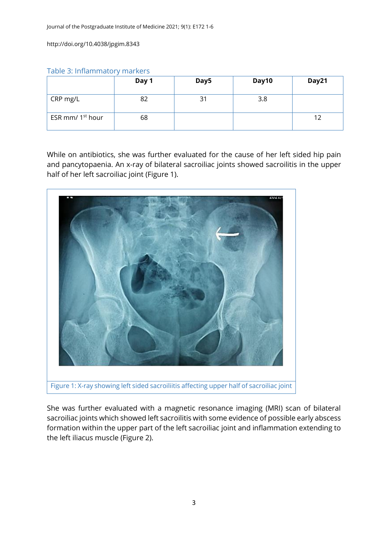| Table 3: Inflammatory markers |  |  |  |  |  |
|-------------------------------|--|--|--|--|--|
|-------------------------------|--|--|--|--|--|

|                              | Day 1 | Day5 | Day10 | Day21 |
|------------------------------|-------|------|-------|-------|
| CRP mg/L                     | 82    | 31   | 3.8   |       |
| ESR mm/ 1 <sup>st</sup> hour | 68    |      |       | 12    |

While on antibiotics, she was further evaluated for the cause of her left sided hip pain and pancytopaenia. An x-ray of bilateral sacroiliac joints showed sacroilitis in the upper half of her left sacroiliac joint (Figure 1).



She was further evaluated with a magnetic resonance imaging (MRI) scan of bilateral sacroiliac joints which showed left sacroilitis with some evidence of possible early abscess formation within the upper part of the left sacroiliac joint and inflammation extending to the left iliacus muscle (Figure 2).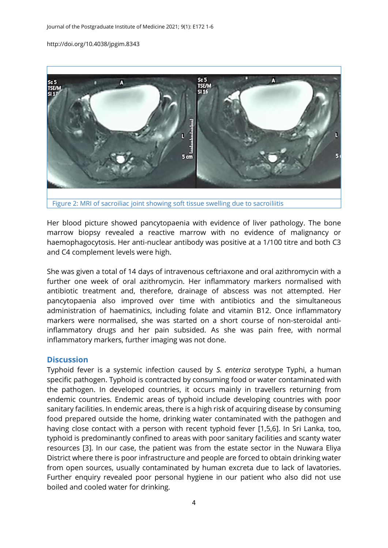

Her blood picture showed pancytopaenia with evidence of liver pathology. The bone marrow biopsy revealed a reactive marrow with no evidence of malignancy or haemophagocytosis. Her anti-nuclear antibody was positive at a 1/100 titre and both C3 and C4 complement levels were high.

She was given a total of 14 days of intravenous ceftriaxone and oral azithromycin with a further one week of oral azithromycin. Her inflammatory markers normalised with antibiotic treatment and, therefore, drainage of abscess was not attempted. Her pancytopaenia also improved over time with antibiotics and the simultaneous administration of haematinics, including folate and vitamin B12. Once inflammatory markers were normalised, she was started on a short course of non-steroidal antiinflammatory drugs and her pain subsided. As she was pain free, with normal inflammatory markers, further imaging was not done.

#### **Discussion**

Typhoid fever is a systemic infection caused by *S. enterica* serotype Typhi, a human specific pathogen. Typhoid is contracted by consuming food or water contaminated with the pathogen. In developed countries, it occurs mainly in travellers returning from endemic countries. Endemic areas of typhoid include developing countries with poor sanitary facilities. In endemic areas, there is a high risk of acquiring disease by consuming food prepared outside the home, drinking water contaminated with the pathogen and having close contact with a person with recent typhoid fever [\[1](#page-5-0)[,5](#page-5-4)[,6\]](#page-5-5). In Sri Lanka, too, typhoid is predominantly confined to areas with poor sanitary facilities and scanty water resources [\[3\]](#page-5-2). In our case, the patient was from the estate sector in the Nuwara Eliya District where there is poor infrastructure and people are forced to obtain drinking water from open sources, usually contaminated by human excreta due to lack of lavatories. Further enquiry revealed poor personal hygiene in our patient who also did not use boiled and cooled water for drinking.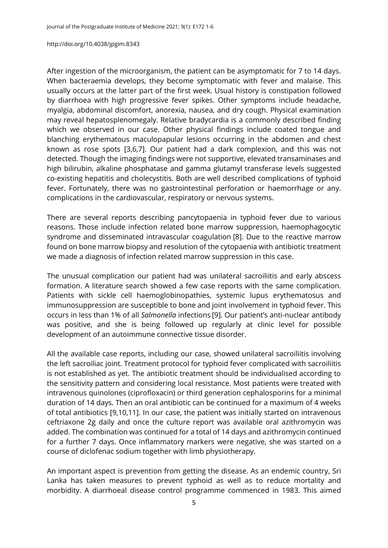After ingestion of the microorganism, the patient can be asymptomatic for 7 to 14 days. When bacteraemia develops, they become symptomatic with fever and malaise. This usually occurs at the latter part of the first week. Usual history is constipation followed by diarrhoea with high progressive fever spikes. Other symptoms include headache, myalgia, abdominal discomfort, anorexia, nausea, and dry cough. Physical examination may reveal hepatosplenomegaly. Relative bradycardia is a commonly described finding which we observed in our case. Other physical findings include coated tongue and blanching erythematous maculopapular lesions occurring in the abdomen and chest known as rose spots [\[3,](#page-5-2)[6,](#page-5-5)[7\]](#page-5-6). Our patient had a dark complexion, and this was not detected. Though the imaging findings were not supportive, elevated transaminases and high bilirubin, alkaline phosphatase and gamma glutamyl transferase levels suggested co-existing hepatitis and cholecystitis. Both are well described complications of typhoid fever. Fortunately, there was no gastrointestinal perforation or haemorrhage or any. complications in the cardiovascular, respiratory or nervous systems.

There are several reports describing pancytopaenia in typhoid fever due to various reasons. Those include infection related bone marrow suppression, haemophagocytic syndrome and disseminated intravascular coagulation [\[8\]](#page-5-7). Due to the reactive marrow found on bone marrow biopsy and resolution of the cytopaenia with antibiotic treatment we made a diagnosis of infection related marrow suppression in this case.

The unusual complication our patient had was unilateral sacroiliitis and early abscess formation. A literature search showed a few case reports with the same complication. Patients with sickle cell haemoglobinopathies, systemic lupus erythematosus and immunosuppression are susceptible to bone and joint involvement in typhoid fever. This occurs in less than 1% of all *Salmonella* infections [\[9\]](#page-5-8). Our patient's anti-nuclear antibody was positive, and she is being followed up regularly at clinic level for possible development of an autoimmune connective tissue disorder.

All the available case reports, including our case, showed unilateral sacroiliitis involving the left sacroiliac joint. Treatment protocol for typhoid fever complicated with sacroiliitis is not established as yet. The antibiotic treatment should be individualised according to the sensitivity pattern and considering local resistance. Most patients were treated with intravenous quinolones (ciprofloxacin) or third generation cephalosporins for a minimal duration of 14 days. Then an oral antibiotic can be continued for a maximum of 4 weeks of total antibiotics [\[9](#page-5-8)[,10](#page-5-9)[,11\]](#page-5-10). In our case, the patient was initially started on intravenous ceftriaxone 2g daily and once the culture report was available oral azithromycin was added. The combination was continued for a total of 14 days and azithromycin continued for a further 7 days. Once inflammatory markers were negative, she was started on a course of diclofenac sodium together with limb physiotherapy.

An important aspect is prevention from getting the disease. As an endemic country, Sri Lanka has taken measures to prevent typhoid as well as to reduce mortality and morbidity. A diarrhoeal disease control programme commenced in 1983. This aimed